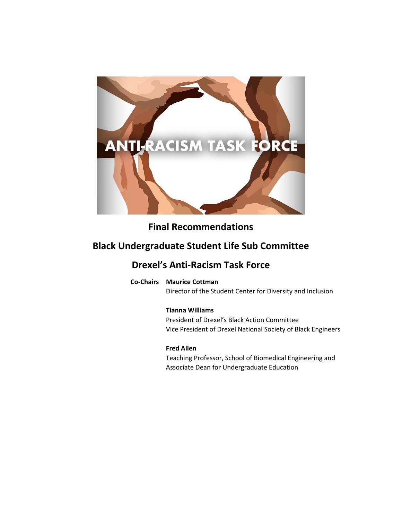

# **Final Recommendations**

# **Black Undergraduate Student Life Sub Committee**

# **Drexel's Anti‐Racism Task Force**

**Co‐Chairs Maurice Cottman**

Director of the Student Center for Diversity and Inclusion

### **Tianna Williams**

President of Drexel's Black Action Committee Vice President of Drexel National Society of Black Engineers

### **Fred Allen**

Teaching Professor, School of Biomedical Engineering and Associate Dean for Undergraduate Education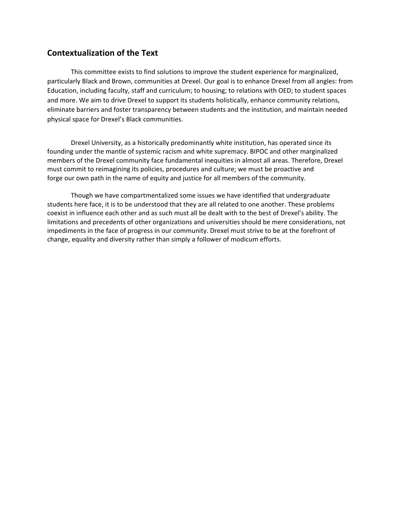### **Contextualization of the Text**

This committee exists to find solutions to improve the student experience for marginalized, particularly Black and Brown, communities at Drexel. Our goal is to enhance Drexel from all angles: from Education, including faculty, staff and curriculum; to housing; to relations with OED; to student spaces and more. We aim to drive Drexel to support its students holistically, enhance community relations, eliminate barriers and foster transparency between students and the institution, and maintain needed physical space for Drexel's Black communities.

Drexel University, as a historically predominantly white institution, has operated since its founding under the mantle of systemic racism and white supremacy. BIPOC and other marginalized members of the Drexel community face fundamental inequities in almost all areas. Therefore, Drexel must commit to reimagining its policies, procedures and culture; we must be proactive and forge our own path in the name of equity and justice for all members of the community.

Though we have compartmentalized some issues we have identified that undergraduate students here face, it is to be understood that they are all related to one another. These problems coexist in influence each other and as such must all be dealt with to the best of Drexel's ability. The limitations and precedents of other organizations and universities should be mere considerations, not impediments in the face of progress in our community. Drexel must strive to be at the forefront of change, equality and diversity rather than simply a follower of modicum efforts.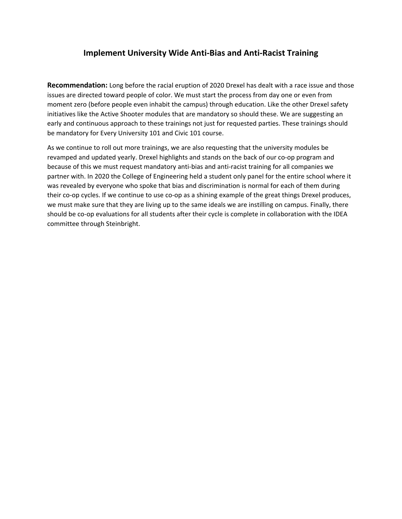## **Implement University Wide Anti‐Bias and Anti‐Racist Training**

**Recommendation:** Long before the racial eruption of 2020 Drexel has dealt with a race issue and those issues are directed toward people of color. We must start the process from day one or even from moment zero (before people even inhabit the campus) through education. Like the other Drexel safety initiatives like the Active Shooter modules that are mandatory so should these. We are suggesting an early and continuous approach to these trainings not just for requested parties. These trainings should be mandatory for Every University 101 and Civic 101 course.

As we continue to roll out more trainings, we are also requesting that the university modules be revamped and updated yearly. Drexel highlights and stands on the back of our co‐op program and because of this we must request mandatory anti‐bias and anti‐racist training for all companies we partner with. In 2020 the College of Engineering held a student only panel for the entire school where it was revealed by everyone who spoke that bias and discrimination is normal for each of them during their co‐op cycles. If we continue to use co‐op as a shining example of the great things Drexel produces, we must make sure that they are living up to the same ideals we are instilling on campus. Finally, there should be co‐op evaluations for all students after their cycle is complete in collaboration with the IDEA committee through Steinbright.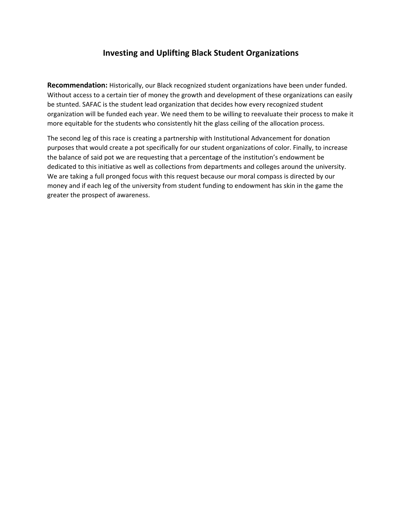## **Investing and Uplifting Black Student Organizations**

**Recommendation:** Historically, our Black recognized student organizations have been under funded. Without access to a certain tier of money the growth and development of these organizations can easily be stunted. SAFAC is the student lead organization that decides how every recognized student organization will be funded each year. We need them to be willing to reevaluate their process to make it more equitable for the students who consistently hit the glass ceiling of the allocation process.

The second leg of this race is creating a partnership with Institutional Advancement for donation purposes that would create a pot specifically for our student organizations of color. Finally, to increase the balance of said pot we are requesting that a percentage of the institution's endowment be dedicated to this initiative as well as collections from departments and colleges around the university. We are taking a full pronged focus with this request because our moral compass is directed by our money and if each leg of the university from student funding to endowment has skin in the game the greater the prospect of awareness.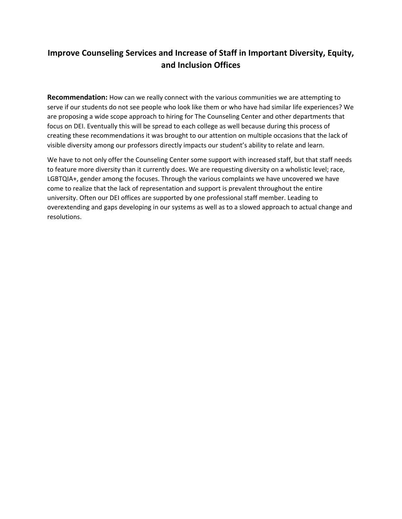## **Improve Counseling Services and Increase of Staff in Important Diversity, Equity, and Inclusion Offices**

**Recommendation:** How can we really connect with the various communities we are attempting to serve if our students do not see people who look like them or who have had similar life experiences? We are proposing a wide scope approach to hiring for The Counseling Center and other departments that focus on DEI. Eventually this will be spread to each college as well because during this process of creating these recommendations it was brought to our attention on multiple occasions that the lack of visible diversity among our professors directly impacts our student's ability to relate and learn.

We have to not only offer the Counseling Center some support with increased staff, but that staff needs to feature more diversity than it currently does. We are requesting diversity on a wholistic level; race, LGBTQIA+, gender among the focuses. Through the various complaints we have uncovered we have come to realize that the lack of representation and support is prevalent throughout the entire university. Often our DEI offices are supported by one professional staff member. Leading to overextending and gaps developing in our systems as well as to a slowed approach to actual change and resolutions.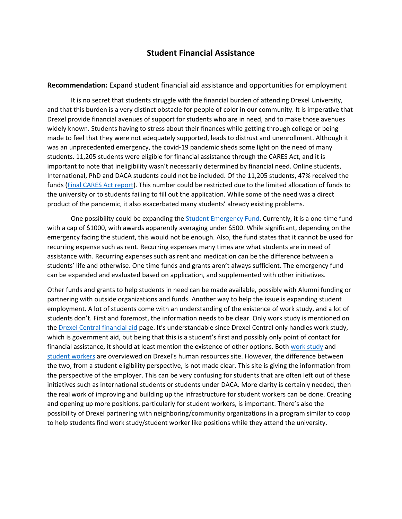#### **Student Financial Assistance**

**Recommendation:** Expand student financial aid assistance and opportunities for employment

It is no secret that students struggle with the financial burden of attending Drexel University, and that this burden is a very distinct obstacle for people of color in our community. It is imperative that Drexel provide financial avenues of support for students who are in need, and to make those avenues widely known. Students having to stress about their finances while getting through college or being made to feel that they were not adequately supported, leads to distrust and unenrollment. Although it was an unprecedented emergency, the covid-19 pandemic sheds some light on the need of many students. 11,205 students were eligible for financial assistance through the CARES Act, and it is important to note that ineligibility wasn't necessarily determined by financial need. Online students, International, PhD and DACA students could not be included. Of the 11,205 students, 47% received the funds (Final CARES Act report). This number could be restricted due to the limited allocation of funds to the university or to students failing to fill out the application. While some of the need was a direct product of the pandemic, it also exacerbated many students' already existing problems.

One possibility could be expanding the Student Emergency Fund. Currently, it is a one-time fund with a cap of \$1000, with awards apparently averaging under \$500. While significant, depending on the emergency facing the student, this would not be enough. Also, the fund states that it cannot be used for recurring expense such as rent. Recurring expenses many times are what students are in need of assistance with. Recurring expenses such as rent and medication can be the difference between a students' life and otherwise. One time funds and grants aren't always sufficient. The emergency fund can be expanded and evaluated based on application, and supplemented with other initiatives.

Other funds and grants to help students in need can be made available, possibly with Alumni funding or partnering with outside organizations and funds. Another way to help the issue is expanding student employment. A lot of students come with an understanding of the existence of work study, and a lot of students don't. First and foremost, the information needs to be clear. Only work study is mentioned on the Drexel Central financial aid page. It's understandable since Drexel Central only handles work study, which is government aid, but being that this is a student's first and possibly only point of contact for financial assistance, it should at least mention the existence of other options. Both work study and student workers are overviewed on Drexel's human resources site. However, the difference between the two, from a student eligibility perspective, is not made clear. This site is giving the information from the perspective of the employer. This can be very confusing for students that are often left out of these initiatives such as international students or students under DACA. More clarity is certainly needed, then the real work of improving and building up the infrastructure for student workers can be done. Creating and opening up more positions, particularly for student workers, is important. There's also the possibility of Drexel partnering with neighboring/community organizations in a program similar to coop to help students find work study/student worker like positions while they attend the university.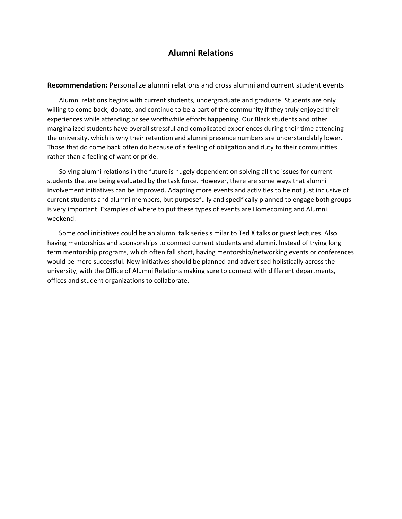### **Alumni Relations**

**Recommendation:** Personalize alumni relations and cross alumni and current student events

Alumni relations begins with current students, undergraduate and graduate. Students are only willing to come back, donate, and continue to be a part of the community if they truly enjoyed their experiences while attending or see worthwhile efforts happening. Our Black students and other marginalized students have overall stressful and complicated experiences during their time attending the university, which is why their retention and alumni presence numbers are understandably lower. Those that do come back often do because of a feeling of obligation and duty to their communities rather than a feeling of want or pride.

Solving alumni relations in the future is hugely dependent on solving all the issues for current students that are being evaluated by the task force. However, there are some ways that alumni involvement initiatives can be improved. Adapting more events and activities to be not just inclusive of current students and alumni members, but purposefully and specifically planned to engage both groups is very important. Examples of where to put these types of events are Homecoming and Alumni weekend.

Some cool initiatives could be an alumni talk series similar to Ted X talks or guest lectures. Also having mentorships and sponsorships to connect current students and alumni. Instead of trying long term mentorship programs, which often fall short, having mentorship/networking events or conferences would be more successful. New initiatives should be planned and advertised holistically across the university, with the Office of Alumni Relations making sure to connect with different departments, offices and student organizations to collaborate.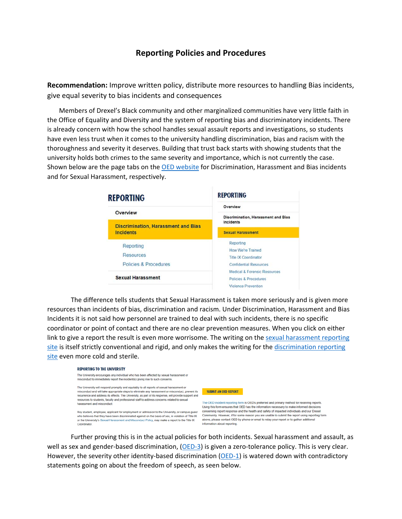### **Reporting Policies and Procedures**

**Recommendation:** Improve written policy, distribute more resources to handling Bias incidents, give equal severity to bias incidents and consequences

Members of Drexel's Black community and other marginalized communities have very little faith in the Office of Equality and Diversity and the system of reporting bias and discriminatory incidents. There is already concern with how the school handles sexual assault reports and investigations, so students have even less trust when it comes to the university handling discrimination, bias and racism with the thoroughness and severity it deserves. Building that trust back starts with showing students that the university holds both crimes to the same severity and importance, which is not currently the case. Shown below are the page tabs on the OED website for Discrimination, Harassment and Bias incidents and for Sexual Harassment, respectively.

| <b>REPORTING</b>                                                           | <b>REPORTING</b>                                                                                                                                                                                 |
|----------------------------------------------------------------------------|--------------------------------------------------------------------------------------------------------------------------------------------------------------------------------------------------|
| Overview<br><b>Discrimination, Harassment and Bias</b><br><b>Incidents</b> | Overview                                                                                                                                                                                         |
|                                                                            | <b>Discrimination, Harassment and Bias</b><br>Incidents                                                                                                                                          |
|                                                                            | <b>Sexual Harassment</b>                                                                                                                                                                         |
| Reporting<br><b>Resources</b>                                              | Reporting<br>How We're Trained<br><b>Title IX Coordinator</b><br><b>Confidential Resources</b><br><b>Medical &amp; Forensic Resources</b><br>Policies & Procedures<br><b>Violence Prevention</b> |
| Policies & Procedures                                                      |                                                                                                                                                                                                  |
| <b>Sexual Harassment</b>                                                   |                                                                                                                                                                                                  |

The difference tells students that Sexual Harassment is taken more seriously and is given more resources than incidents of bias, discrimination and racism. Under Discrimination, Harassment and Bias Incidents it is not said how personnel are trained to deal with such incidents, there is no specific coordinator or point of contact and there are no clear prevention measures. When you click on either link to give a report the result is even more worrisome. The writing on the sexual harassment reporting site is itself strictly conventional and rigid, and only makes the writing for the discrimination reporting site even more cold and sterile.



Further proving this is in the actual policies for both incidents. Sexual harassment and assault, as well as sex and gender-based discrimination, (OED-3) is given a zero-tolerance policy. This is very clear. However, the severity other identity-based discrimination (OED-1) is watered down with contradictory statements going on about the freedom of speech, as seen below.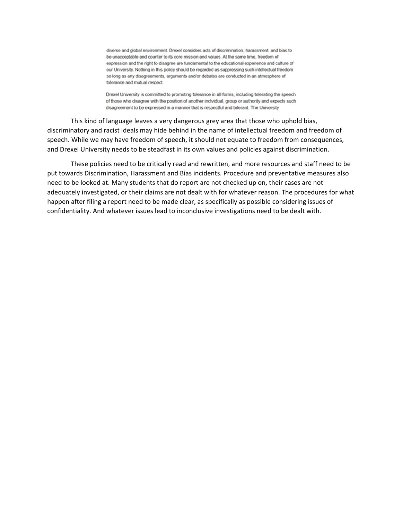diverse and global environment. Drexel considers acts of discrimination, harassment, and bias to be unacceptable and counter to its core mission and values. At the same time, freedom of expression and the right to disagree are fundamental to the educational experience and culture of our University. Nothing in this policy should be regarded as suppressing such intellectual freedom so long as any disagreements, arguments and/or debates are conducted in an atmosphere of tolerance and mutual respect.

Drexel University is committed to promoting tolerance in all forms, including tolerating the speech of those who disagree with the position of another individual, group or authority and expects such disagreement to be expressed in a manner that is respectful and tolerant. The University

This kind of language leaves a very dangerous grey area that those who uphold bias, discriminatory and racist ideals may hide behind in the name of intellectual freedom and freedom of speech. While we may have freedom of speech, it should not equate to freedom from consequences, and Drexel University needs to be steadfast in its own values and policies against discrimination.

These policies need to be critically read and rewritten, and more resources and staff need to be put towards Discrimination, Harassment and Bias incidents. Procedure and preventative measures also need to be looked at. Many students that do report are not checked up on, their cases are not adequately investigated, or their claims are not dealt with for whatever reason. The procedures for what happen after filing a report need to be made clear, as specifically as possible considering issues of confidentiality. And whatever issues lead to inconclusive investigations need to be dealt with.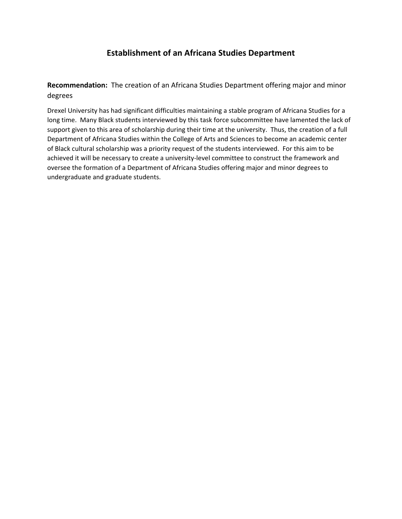## **Establishment of an Africana Studies Department**

**Recommendation:**  The creation of an Africana Studies Department offering major and minor degrees

Drexel University has had significant difficulties maintaining a stable program of Africana Studies for a long time. Many Black students interviewed by this task force subcommittee have lamented the lack of support given to this area of scholarship during their time at the university. Thus, the creation of a full Department of Africana Studies within the College of Arts and Sciences to become an academic center of Black cultural scholarship was a priority request of the students interviewed. For this aim to be achieved it will be necessary to create a university-level committee to construct the framework and oversee the formation of a Department of Africana Studies offering major and minor degrees to undergraduate and graduate students.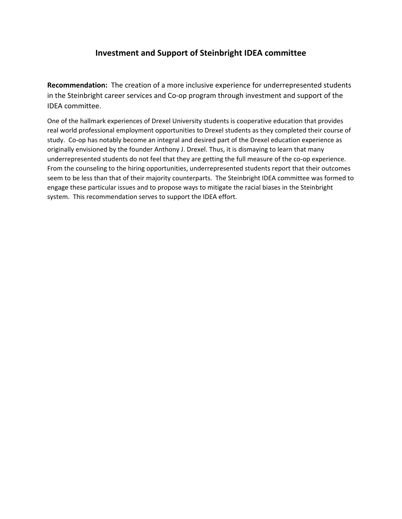## **Investment and Support of Steinbright IDEA committee**

**Recommendation:**  The creation of a more inclusive experience for underrepresented students in the Steinbright career services and Co-op program through investment and support of the IDEA committee.

One of the hallmark experiences of Drexel University students is cooperative education that provides real world professional employment opportunities to Drexel students as they completed their course of study. Co-op has notably become an integral and desired part of the Drexel education experience as originally envisioned by the founder Anthony J. Drexel. Thus, it is dismaying to learn that many underrepresented students do not feel that they are getting the full measure of the co-op experience. From the counseling to the hiring opportunities, underrepresented students report that their outcomes seem to be less than that of their majority counterparts. The Steinbright IDEA committee was formed to engage these particular issues and to propose ways to mitigate the racial biases in the Steinbright system. This recommendation serves to support the IDEA effort.